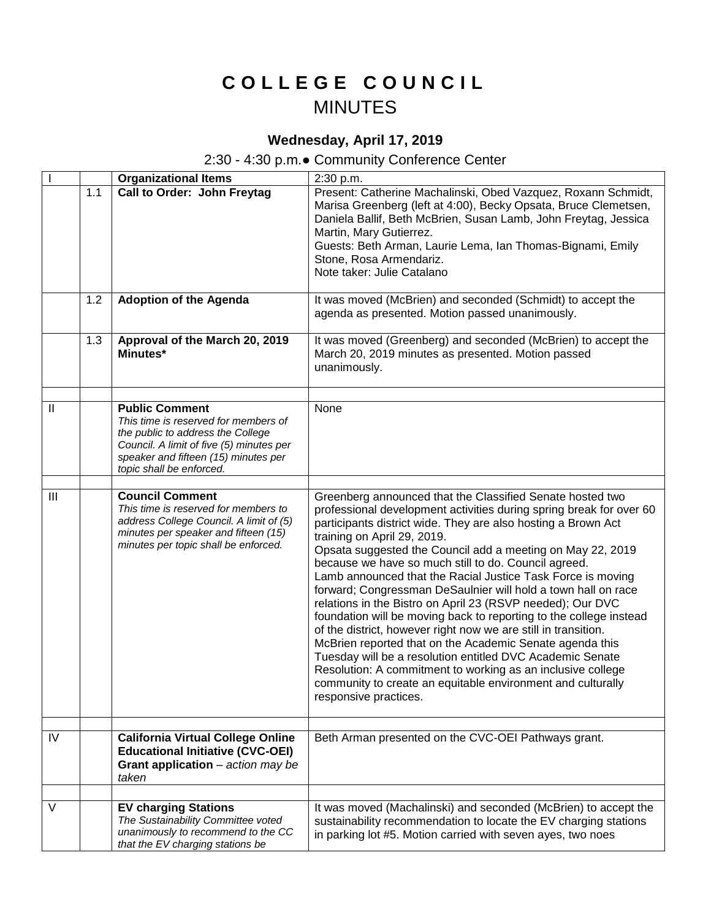## **C O L L E G E C O U N C I L** MINUTES

## **Wednesday, April 17, 2019**

## 2:30 - 4:30 p.m.● Community Conference Center

|              |     | <b>Organizational Items</b>                                                                                                                                                                                        | 2:30 p.m.                                                                                                                                                                                                                                                                                                                                                                                                                                                                                                                                                                                                                                                                                                                                                                                                                                                                                                                                                                    |
|--------------|-----|--------------------------------------------------------------------------------------------------------------------------------------------------------------------------------------------------------------------|------------------------------------------------------------------------------------------------------------------------------------------------------------------------------------------------------------------------------------------------------------------------------------------------------------------------------------------------------------------------------------------------------------------------------------------------------------------------------------------------------------------------------------------------------------------------------------------------------------------------------------------------------------------------------------------------------------------------------------------------------------------------------------------------------------------------------------------------------------------------------------------------------------------------------------------------------------------------------|
|              | 1.1 | <b>Call to Order: John Freytag</b>                                                                                                                                                                                 | Present: Catherine Machalinski, Obed Vazquez, Roxann Schmidt,<br>Marisa Greenberg (left at 4:00), Becky Opsata, Bruce Clemetsen,<br>Daniela Ballif, Beth McBrien, Susan Lamb, John Freytag, Jessica<br>Martin, Mary Gutierrez.<br>Guests: Beth Arman, Laurie Lema, Ian Thomas-Bignami, Emily<br>Stone, Rosa Armendariz.<br>Note taker: Julie Catalano                                                                                                                                                                                                                                                                                                                                                                                                                                                                                                                                                                                                                        |
|              | 1.2 | <b>Adoption of the Agenda</b>                                                                                                                                                                                      | It was moved (McBrien) and seconded (Schmidt) to accept the<br>agenda as presented. Motion passed unanimously.                                                                                                                                                                                                                                                                                                                                                                                                                                                                                                                                                                                                                                                                                                                                                                                                                                                               |
|              | 1.3 | Approval of the March 20, 2019<br>Minutes*                                                                                                                                                                         | It was moved (Greenberg) and seconded (McBrien) to accept the<br>March 20, 2019 minutes as presented. Motion passed<br>unanimously.                                                                                                                                                                                                                                                                                                                                                                                                                                                                                                                                                                                                                                                                                                                                                                                                                                          |
| $\mathbf{H}$ |     | <b>Public Comment</b><br>This time is reserved for members of<br>the public to address the College<br>Council. A limit of five (5) minutes per<br>speaker and fifteen (15) minutes per<br>topic shall be enforced. | None                                                                                                                                                                                                                                                                                                                                                                                                                                                                                                                                                                                                                                                                                                                                                                                                                                                                                                                                                                         |
|              |     |                                                                                                                                                                                                                    |                                                                                                                                                                                                                                                                                                                                                                                                                                                                                                                                                                                                                                                                                                                                                                                                                                                                                                                                                                              |
| III          |     | <b>Council Comment</b><br>This time is reserved for members to<br>address College Council. A limit of (5)<br>minutes per speaker and fifteen (15)<br>minutes per topic shall be enforced.                          | Greenberg announced that the Classified Senate hosted two<br>professional development activities during spring break for over 60<br>participants district wide. They are also hosting a Brown Act<br>training on April 29, 2019.<br>Opsata suggested the Council add a meeting on May 22, 2019<br>because we have so much still to do. Council agreed.<br>Lamb announced that the Racial Justice Task Force is moving<br>forward; Congressman DeSaulnier will hold a town hall on race<br>relations in the Bistro on April 23 (RSVP needed); Our DVC<br>foundation will be moving back to reporting to the college instead<br>of the district, however right now we are still in transition.<br>McBrien reported that on the Academic Senate agenda this<br>Tuesday will be a resolution entitled DVC Academic Senate<br>Resolution: A commitment to working as an inclusive college<br>community to create an equitable environment and culturally<br>responsive practices. |
| IV           |     | <b>California Virtual College Online</b><br><b>Educational Initiative (CVC-OEI)</b><br>Grant application $-$ action may be<br>taken                                                                                | Beth Arman presented on the CVC-OEI Pathways grant.                                                                                                                                                                                                                                                                                                                                                                                                                                                                                                                                                                                                                                                                                                                                                                                                                                                                                                                          |
|              |     |                                                                                                                                                                                                                    |                                                                                                                                                                                                                                                                                                                                                                                                                                                                                                                                                                                                                                                                                                                                                                                                                                                                                                                                                                              |
| V            |     | <b>EV charging Stations</b><br>The Sustainability Committee voted<br>unanimously to recommend to the CC<br>that the EV charging stations be                                                                        | It was moved (Machalinski) and seconded (McBrien) to accept the<br>sustainability recommendation to locate the EV charging stations<br>in parking lot #5. Motion carried with seven ayes, two noes                                                                                                                                                                                                                                                                                                                                                                                                                                                                                                                                                                                                                                                                                                                                                                           |